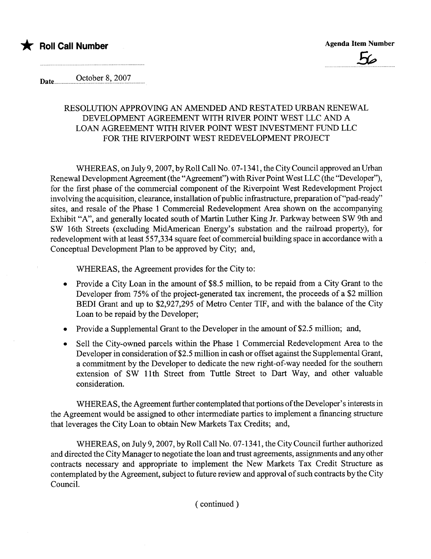

Date. October 8,2007 .......................... ......................................

#### RESOLUTION APPROVING AN AMENDED AND RESTATED URBAN RENEWAL DEVELOPMENT AGREEMENT WITH RIVER POINT WEST LLC AND A LOAN AGREEMENT WITH RIVER POINT WEST INVESTMENT FUND LLC FOR THE RIVERPOINT WEST REDEVELOPMENT PROJECT

WHEREAS, on July 9, 2007, by Roll Call No. 07-1341, the City Council approved an Urban Renewal Development Agreement (the "Agreement") with River Point West LLC (the "Developer"), for the first phase of the commercial component of the Riverpoint West Redevelopment Project involving the acquisition, clearance, installation of public infrastructure, preparation of "pad-ready" sites, and resale of the Phase 1 Commercial Redevelopment Area shown on the accompanying Exhibit "A", and generally located south of Martin Luther King Jr. Parkway between SW 9th and SW 16th Streets (excluding MidAmerican Energy's substation and the railroad property), for redevelopment with at least 557,334 square feet of commercial building space in accordance with a Conceptual Development Plan to be approved by City; and,

WHEREAS, the Agreement provides for the City to:

- . Provide a City Loan in the amount of \$8.5 milion, to be repaid from a City Grant to the Developer from 75% of the project-generated tax increment, the proceeds of a \$2 million BEDI Grant and up to \$2,927,295 of Metro Center TIP, and with the balance of the City Loan to be repaid by the Developer;
- . Provide a Supplemental Grant to the Developer in the amount of \$2.5 million; and,
- . Sell the City-owned parcels within the Phase 1 Commercial Redevelopment Area to the Developer in consideration of \$2.5 million in cash or offset against the Supplemental Grant, a commitment by the Developer to dedicate the new right-of-way needed for the southern extension of SW 11th Street from Tuttle Street to Dart Way, and other valuable consideration.

WHEREAS, the Agreement further contemplated that portions of the Developer's interests in the Agreement would be assigned to other intermediate paries to implement a financing structure that leverages the City Loan to obtain New Markets Tax Credits; and,

WHEREAS, on July 9, 2007, by Roll Call No. 07-1341, the City Council further authorized and directed the City Manager to negotiate the loan and trust agreements, assignments and any other contracts necessary and appropriate to implement the New Markets Tax Credit Structure as contemplated by the Agreement, subject to future review and approval of such contracts by the City CounciL.

( continued)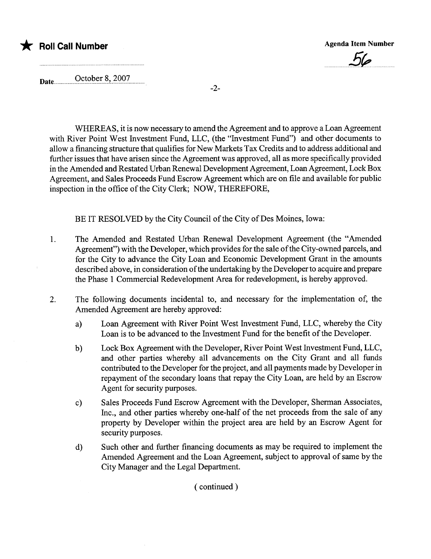# \* Roll Call Number Agenda Item Number Agenda Item Number

 $\overline{\phantom{a}}$ 

Date\_\_\_\_\_\_\_October 8, 2007

-2-

WHEREAS, it is now necessary to amend the Agreement and to approve a Loan Agreement with River Point West Investment Fund, LLC, (the "Investment Fund") and other documents to allow a financing structure that qualifies for New Markets Tax Credits and to address additional and further issues that have arisen since the Agreement was approved, all as more specifically provided in the Amended and Restated Urban Renewal Development Agreement, Loan Agreement, Lock Box Agreement, and Sales Proceeds Fund Escrow Agreement which are on file and available for public inspection in the office of the City Clerk; NOW, THEREFORE,

BE IT RESOLVED by the City Council of the City of Des Moines, Iowa:

- 1. The Amended and Restated Urban Renewal Development Agreement (the "Amended Agreement") with the Developer, which provides for the sale of the City-owned parcels, and for the City to advance the City Loan and Economic Development Grant in the amounts described above, in consideration of the undertaking by the Developer to acquire and prepare the Phase 1 Commercial Redevelopment Area for redevelopment, is hereby approved.
- 2. The following documents incidental to, and necessary for the implementation of, the Amended Agreement are hereby approved:
	- a) Loan Agreement with River Point West Investment Fund, LLC, whereby the City Loan is to be advanced to the Investment Fund for the benefit of the Developer.
	- b) Lock Box Agreement with the Developer, River Point West Investment Fund, LLC, and other paries whereby all advancements on the City Grant and all fuds contributed to the Developer for the project, and all payments made by Developer in repayment of the secondary loans that repay the City Loan, are held by an Escrow Agent for security purposes.
	- c) Sales Proceeds Fund Escrow Agreement with the Developer, Sherman Associates, Inc., and other parties whereby one-half of the net proceeds from the sale of any property by Developer within the project area are held by an Escrow Agent for security purposes.
	- d) Such other and further financing documents as may be required to implement the Amended Agreement and the Loan Agreement, subject to approval of same by the City Manager and the Legal Department.

( continued)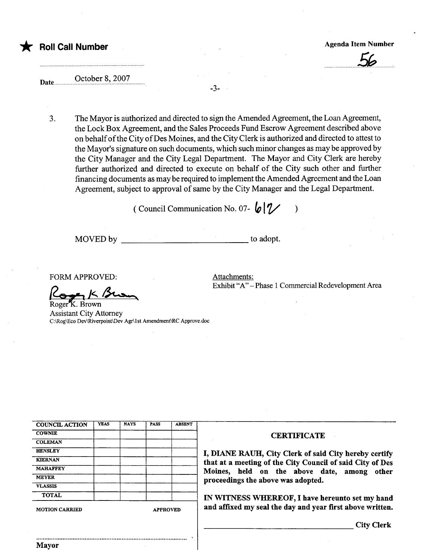# \* Roll Call Number Agenda Item Number Agenda Item Number

u.Sb.

### Date.. October 8, 2007

3. The Mayor is authorized and directed to sign the Amended Agreement, the Loan Agreement, the Lock Box Agreement, and the Sales Proceeds Fund Escrow Agreement described above on behalf of the City of Des Moines, and the City Clerk is authorized and directed to attest to the Mayor's signature on such documents, which such minor changes as may be approved by the City Manager and the City Legal Department. The Mayor and City Clerk are hereby further authorized and directed to execute on behalf of the City such other and further financing documents as may be required to implement the Amended Agreement and the Loan Agreement, subject to approval of same by the City Manager and the Legal Department.

-3-

( Council Communication No. 07-  $\bigl(\mathcal{O} \bigr| \mathcal{V} \bigr)$ 

MOVED by to adopt.

FORM APPROVED:

Koger K Brown

Attachments: Exhibit "A" - Phase 1 Commercial Redevelopment Area

Assistant City Attorney C:\Rog\Eco Dev\Riverpoint\Dev Agr\lst Amendment\RC Approve.doc

| <b>COUNCIL ACTION</b> | <b>YEAS</b> | <b>NAYS</b> | <b>PASS</b>     | <b>ABSENT</b> |
|-----------------------|-------------|-------------|-----------------|---------------|
| <b>COWNIE</b>         |             |             |                 |               |
| <b>COLEMAN</b>        |             |             |                 |               |
| <b>HENSLEY</b>        |             |             |                 |               |
| <b>KIERNAN</b>        |             |             |                 |               |
| <b>MAHAFFEY</b>       |             |             |                 |               |
| <b>MEYER</b>          |             |             |                 |               |
| <b>VLASSIS</b>        |             |             |                 |               |
| <b>TOTAL</b>          |             |             |                 |               |
| <b>MOTION CARRIED</b> |             |             | <b>APPROVED</b> |               |

..........................................................................................

#### **CERTIFICATE**

I, DIANE RAUH, City Clerk of said City hereby certify that at a meeting of the City Council of said City of Des<br>Moines, held on the above date, among other proceedings the above was adopted.

IN WITNESS WHEREOF, I have hereunto set my hand and affixed my seal the day and year first above written.

City Clerk